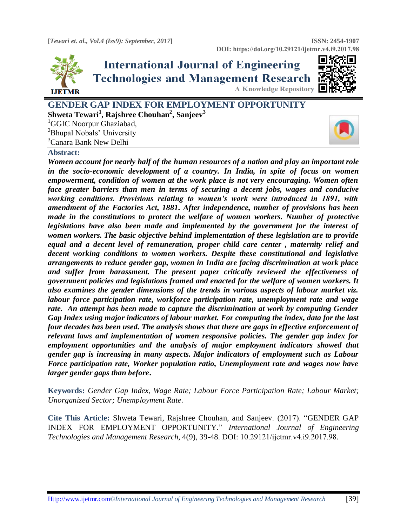

# **International Journal of Engineering Technologies and Management Research A Knowledge Repository**



**GENDER GAP INDEX FOR EMPLOYMENT OPPORTUNITY Shweta Tewari<sup>1</sup> , Rajshree Chouhan<sup>2</sup> , Sanjeev<sup>3</sup>** <sup>1</sup>GGIC Noorpur Ghaziabad,

<sup>2</sup>Bhupal Nobals' University

<sup>3</sup>Canara Bank New Delhi

### **Abstract:**

*Women account for nearly half of the human resources of a nation and play an important role in the socio-economic development of a country. In India, in spite of focus on women empowerment, condition of women at the work place is not very encouraging. Women often face greater barriers than men in terms of securing a decent jobs, wages and conducive working conditions. Provisions relating to women's work were introduced in 1891, with amendment of the Factories Act, 1881. After independence, number of provisions has been made in the constitutions to protect the welfare of women workers. Number of protective legislations have also been made and implemented by the government for the interest of women workers. The basic objective behind implementation of these legislation are to provide equal and a decent level of remuneration, proper child care center , maternity relief and decent working conditions to women workers. Despite these constitutional and legislative arrangements to reduce gender gap, women in India are facing discrimination at work place and suffer from harassment. The present paper critically reviewed the effectiveness of government policies and legislations framed and enacted for the welfare of women workers. It also examines the gender dimensions of the trends in various aspects of labour market viz. labour force participation rate, workforce participation rate, unemployment rate and wage rate. An attempt has been made to capture the discrimination at work by computing Gender Gap Index using major indicators of labour market. For computing the index, data for the last four decades has been used. The analysis shows that there are gaps in effective enforcement of relevant laws and implementation of women responsive policies. The gender gap index for employment opportunities and the analysis of major employment indicators showed that gender gap is increasing in many aspects. Major indicators of employment such as Labour Force participation rate, Worker population ratio, Unemployment rate and wages now have larger gender gaps than before***.**

**Keywords:** *Gender Gap Index, Wage Rate; Labour Force Participation Rate; Labour Market; Unorganized Sector; Unemployment Rate.* 

**Cite This Article:** Shweta Tewari, Rajshree Chouhan, and Sanjeev. (2017). "GENDER GAP INDEX FOR EMPLOYMENT OPPORTUNITY." *International Journal of Engineering Technologies and Management Research,* 4(9), 39-48. DOI: 10.29121/ijetmr.v4.i9.2017.98.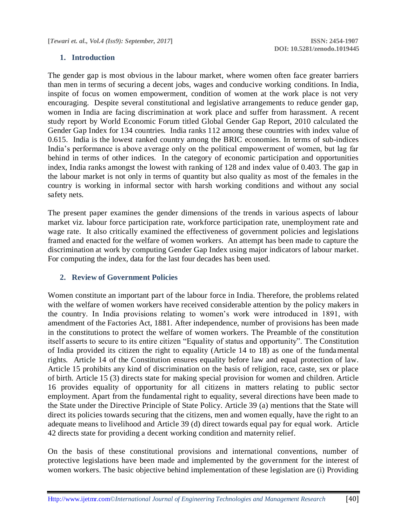## **1. Introduction**

The gender gap is most obvious in the labour market, where women often face greater barriers than men in terms of securing a decent jobs, wages and conducive working conditions. In India, inspite of focus on women empowerment, condition of women at the work place is not very encouraging. Despite several constitutional and legislative arrangements to reduce gender gap, women in India are facing discrimination at work place and suffer from harassment. A recent study report by World Economic Forum titled Global Gender Gap Report, 2010 calculated the Gender Gap Index for 134 countries. India ranks 112 among these countries with index value of 0.615. India is the lowest ranked country among the BRIC economies. In terms of sub-indices India's performance is above average only on the political empowerment of women, but lag far behind in terms of other indices. In the category of economic participation and opportunities index, India ranks amongst the lowest with ranking of 128 and index value of 0.403. The gap in the labour market is not only in terms of quantity but also quality as most of the females in the country is working in informal sector with harsh working conditions and without any social safety nets.

The present paper examines the gender dimensions of the trends in various aspects of labour market viz. labour force participation rate, workforce participation rate, unemployment rate and wage rate. It also critically examined the effectiveness of government policies and legislations framed and enacted for the welfare of women workers. An attempt has been made to capture the discrimination at work by computing Gender Gap Index using major indicators of labour market. For computing the index, data for the last four decades has been used.

## **2. Review of Government Policies**

Women constitute an important part of the labour force in India. Therefore, the problems related with the welfare of women workers have received considerable attention by the policy makers in the country. In India provisions relating to women's work were introduced in 1891, with amendment of the Factories Act, 1881. After independence, number of provisions has been made in the constitutions to protect the welfare of women workers. The Preamble of the constitution itself asserts to secure to its entire citizen "Equality of status and opportunity". The Constitution of India provided its citizen the right to equality (Article 14 to 18) as one of the fundamental rights. Article 14 of the Constitution ensures equality before law and equal protection of law. Article 15 prohibits any kind of discrimination on the basis of religion, race, caste, sex or place of birth. Article 15 (3) directs state for making special provision for women and children. Article 16 provides equality of opportunity for all citizens in matters relating to public sector employment. Apart from the fundamental right to equality, several directions have been made to the State under the Directive Principle of State Policy. Article 39 (a) mentions that the State will direct its policies towards securing that the citizens, men and women equally, have the right to an adequate means to livelihood and Article 39 (d) direct towards equal pay for equal work. Article 42 directs state for providing a decent working condition and maternity relief.

On the basis of these constitutional provisions and international conventions, number of protective legislations have been made and implemented by the government for the interest of women workers. The basic objective behind implementation of these legislation are (i) Providing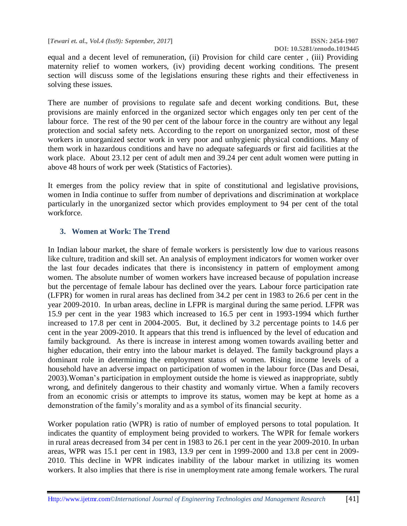equal and a decent level of remuneration, (ii) Provision for child care center , (iii) Providing maternity relief to women workers, (iv) providing decent working conditions. The present section will discuss some of the legislations ensuring these rights and their effectiveness in solving these issues.

There are number of provisions to regulate safe and decent working conditions. But, these provisions are mainly enforced in the organized sector which engages only ten per cent of the labour force. The rest of the 90 per cent of the labour force in the country are without any legal protection and social safety nets. According to the report on unorganized sector, most of these workers in unorganized sector work in very poor and unhygienic physical conditions. Many of them work in hazardous conditions and have no adequate safeguards or first aid facilities at the work place. About 23.12 per cent of adult men and 39.24 per cent adult women were putting in above 48 hours of work per week (Statistics of Factories).

It emerges from the policy review that in spite of constitutional and legislative provisions, women in India continue to suffer from number of deprivations and discrimination at workplace particularly in the unorganized sector which provides employment to 94 per cent of the total workforce.

## **3. Women at Work: The Trend**

In Indian labour market, the share of female workers is persistently low due to various reasons like culture, tradition and skill set. An analysis of employment indicators for women worker over the last four decades indicates that there is inconsistency in pattern of employment among women. The absolute number of women workers have increased because of population increase but the percentage of female labour has declined over the years. Labour force participation rate (LFPR) for women in rural areas has declined from 34.2 per cent in 1983 to 26.6 per cent in the year 2009-2010. In urban areas, decline in LFPR is marginal during the same period. LFPR was 15.9 per cent in the year 1983 which increased to 16.5 per cent in 1993-1994 which further increased to 17.8 per cent in 2004-2005. But, it declined by 3.2 percentage points to 14.6 per cent in the year 2009-2010. It appears that this trend is influenced by the level of education and family background. As there is increase in interest among women towards availing better and higher education, their entry into the labour market is delayed. The family background plays a dominant role in determining the employment status of women. Rising income levels of a household have an adverse impact on participation of women in the labour force (Das and Desai, 2003).Woman's participation in employment outside the home is viewed as inappropriate, subtly wrong, and definitely dangerous to their chastity and womanly virtue. When a family recovers from an economic crisis or attempts to improve its status, women may be kept at home as a demonstration of the family's morality and as a symbol of its financial security.

Worker population ratio (WPR) is ratio of number of employed persons to total population. It indicates the quantity of employment being provided to workers. The WPR for female workers in rural areas decreased from 34 per cent in 1983 to 26.1 per cent in the year 2009-2010. In urban areas, WPR was 15.1 per cent in 1983, 13.9 per cent in 1999-2000 and 13.8 per cent in 2009- 2010. This decline in WPR indicates inability of the labour market in utilizing its women workers. It also implies that there is rise in unemployment rate among female workers. The rural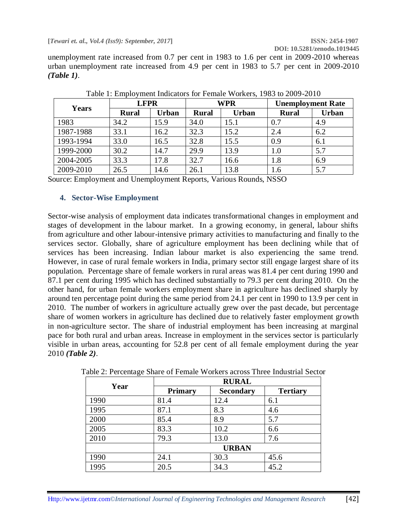**[***Tewari et. al., Vol.4 (Iss9): September, 2017***] ISSN: 2454-1907**

**DOI: 10.5281/zenodo.1019445**

unemployment rate increased from 0.7 per cent in 1983 to 1.6 per cent in 2009-2010 whereas urban unemployment rate increased from 4.9 per cent in 1983 to 5.7 per cent in 2009-2010 *(Table 1)*.

|           |              | <b>LFPR</b>  |              | <b>WPR</b>   |              | <b>Unemployment Rate</b> |  |  |
|-----------|--------------|--------------|--------------|--------------|--------------|--------------------------|--|--|
| Years     | <b>Rural</b> | <b>Urban</b> | <b>Rural</b> | <b>Urban</b> | <b>Rural</b> | <b>Urban</b>             |  |  |
| 1983      | 34.2         | 15.9         | 34.0         | 15.1         | 0.7          | 4.9                      |  |  |
| 1987-1988 | 33.1         | 16.2         | 32.3         | 15.2         | 2.4          | 6.2                      |  |  |
| 1993-1994 | 33.0         | 16.5         | 32.8         | 15.5         | 0.9          | 6.1                      |  |  |
| 1999-2000 | 30.2         | 14.7         | 29.9         | 13.9         | 1.0          | 5.7                      |  |  |
| 2004-2005 | 33.3         | 17.8         | 32.7         | 16.6         | 1.8          | 6.9                      |  |  |
| 2009-2010 | 26.5         | 14.6         | 26.1         | 13.8         | 1.6          | 5.7                      |  |  |

Table 1: Employment Indicators for Female Workers, 1983 to 2009-2010

Source: Employment and Unemployment Reports, Various Rounds, NSSO

## **4. Sector-Wise Employment**

Sector-wise analysis of employment data indicates transformational changes in employment and stages of development in the labour market. In a growing economy, in general, labour shifts from agriculture and other labour-intensive primary activities to manufacturing and finally to the services sector. Globally, share of agriculture employment has been declining while that of services has been increasing. Indian labour market is also experiencing the same trend. However, in case of rural female workers in India, primary sector still engage largest share of its population. Percentage share of female workers in rural areas was 81.4 per cent during 1990 and 87.1 per cent during 1995 which has declined substantially to 79.3 per cent during 2010. On the other hand, for urban female workers employment share in agriculture has declined sharply by around ten percentage point during the same period from 24.1 per cent in 1990 to 13.9 per cent in 2010. The number of workers in agriculture actually grew over the past decade, but percentage share of women workers in agriculture has declined due to relatively faster employment growth in non-agriculture sector. The share of industrial employment has been increasing at marginal pace for both rural and urban areas. Increase in employment in the services sector is particularly visible in urban areas, accounting for 52.8 per cent of all female employment during the year 2010 *(Table 2)*.

|      | <b>RURAL</b>   |                  |                 |  |  |  |  |
|------|----------------|------------------|-----------------|--|--|--|--|
| Year | <b>Primary</b> | <b>Secondary</b> | <b>Tertiary</b> |  |  |  |  |
| 1990 | 81.4           | 12.4             | 6.1             |  |  |  |  |
| 1995 | 87.1           | 8.3              | 4.6             |  |  |  |  |
| 2000 | 85.4           | 8.9              | 5.7             |  |  |  |  |
| 2005 | 83.3           | 10.2             | 6.6             |  |  |  |  |
| 2010 | 79.3           | 13.0             | 7.6             |  |  |  |  |
|      |                | <b>URBAN</b>     |                 |  |  |  |  |
| 1990 | 24.1           | 30.3             | 45.6            |  |  |  |  |
| 1995 | 20.5           | 34.3             | 45.2            |  |  |  |  |

Table 2: Percentage Share of Female Workers across Three Industrial Sector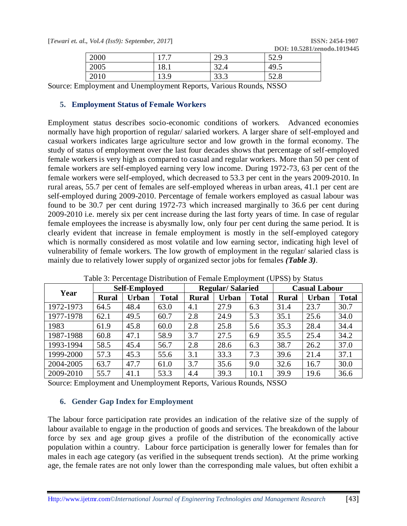**[***Tewari et. al., Vol.4 (Iss9): September, 2017***] ISSN: 2454-1907**

| 2000                                                                                                         | 177  | 29.3 | 52.9 |  |  |  |  |  |
|--------------------------------------------------------------------------------------------------------------|------|------|------|--|--|--|--|--|
| 2005                                                                                                         | 18.1 | 32.4 | 49.5 |  |  |  |  |  |
| 2010                                                                                                         | 13.9 | 33.3 | 52.8 |  |  |  |  |  |
| $F_{\rm mnlou$ and $F_{\rm nemnlou}$ and $F_{\rm nem}$ and $F_{\rm mou}$ and $F_{\rm nem}$ and $F_{\rm nem}$ |      |      |      |  |  |  |  |  |

Source: Employment and Unemployment Reports, Various Rounds, NSSO

## **5. Employment Status of Female Workers**

Employment status describes socio-economic conditions of workers. Advanced economies normally have high proportion of regular/ salaried workers. A larger share of self-employed and casual workers indicates large agriculture sector and low growth in the formal economy. The study of status of employment over the last four decades shows that percentage of self-employed female workers is very high as compared to casual and regular workers. More than 50 per cent of female workers are self-employed earning very low income. During 1972-73, 63 per cent of the female workers were self-employed, which decreased to 53.3 per cent in the years 2009-2010. In rural areas, 55.7 per cent of females are self-employed whereas in urban areas, 41.1 per cent are self-employed during 2009-2010. Percentage of female workers employed as casual labour was found to be 30.7 per cent during 1972-73 which increased marginally to 36.6 per cent during 2009-2010 i.e. merely six per cent increase during the last forty years of time. In case of regular female employees the increase is abysmally low, only four per cent during the same period. It is clearly evident that increase in female employment is mostly in the self-employed category which is normally considered as most volatile and low earning sector, indicating high level of vulnerability of female workers. The low growth of employment in the regular/ salaried class is mainly due to relatively lower supply of organized sector jobs for females *(Table 3)*.

| Year      | <b>Self-Employed</b> |              |              |              | <b>Regular/Salaried</b> |              | <b>Casual Labour</b> |       |              |
|-----------|----------------------|--------------|--------------|--------------|-------------------------|--------------|----------------------|-------|--------------|
|           | <b>Rural</b>         | <b>Urban</b> | <b>Total</b> | <b>Rural</b> | <b>Urban</b>            | <b>Total</b> | <b>Rural</b>         | Urban | <b>Total</b> |
| 1972-1973 | 64.5                 | 48.4         | 63.0         | 4.1          | 27.9                    | 6.3          | 31.4                 | 23.7  | 30.7         |
| 1977-1978 | 62.1                 | 49.5         | 60.7         | 2.8          | 24.9                    | 5.3          | 35.1                 | 25.6  | 34.0         |
| 1983      | 61.9                 | 45.8         | 60.0         | 2.8          | 25.8                    | 5.6          | 35.3                 | 28.4  | 34.4         |
| 1987-1988 | 60.8                 | 47.1         | 58.9         | 3.7          | 27.5                    | 6.9          | 35.5                 | 25.4  | 34.2         |
| 1993-1994 | 58.5                 | 45.4         | 56.7         | 2.8          | 28.6                    | 6.3          | 38.7                 | 26.2  | 37.0         |
| 1999-2000 | 57.3                 | 45.3         | 55.6         | 3.1          | 33.3                    | 7.3          | 39.6                 | 21.4  | 37.1         |
| 2004-2005 | 63.7                 | 47.7         | 61.0         | 3.7          | 35.6                    | 9.0          | 32.6                 | 16.7  | 30.0         |
| 2009-2010 | 55.7                 | 41.1         | 53.3         | 4.4          | 39.3                    | 10.1         | 39.9                 | 19.6  | 36.6         |

Table 3: Percentage Distribution of Female Employment (UPSS) by Status

Source: Employment and Unemployment Reports, Various Rounds, NSSO

## **6. Gender Gap Index for Employment**

The labour force participation rate provides an indication of the relative size of the supply of labour available to engage in the production of goods and services. The breakdown of the labour force by sex and age group gives a profile of the distribution of the economically active population within a country. Labour force participation is generally lower for females than for males in each age category (as verified in the subsequent trends section). At the prime working age, the female rates are not only lower than the corresponding male values, but often exhibit a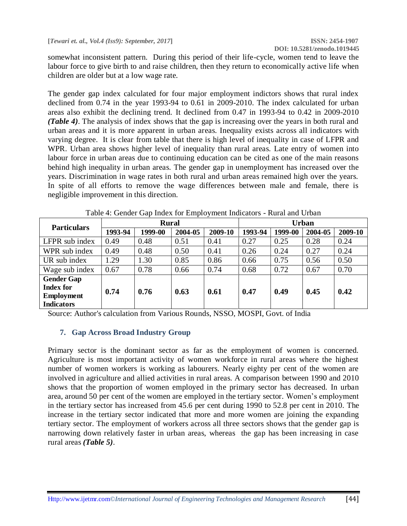**DOI: 10.5281/zenodo.1019445**

somewhat inconsistent pattern. During this period of their life-cycle, women tend to leave the labour force to give birth to and raise children, then they return to economically active life when children are older but at a low wage rate.

The gender gap index calculated for four major employment indictors shows that rural index declined from 0.74 in the year 1993-94 to 0.61 in 2009-2010. The index calculated for urban areas also exhibit the declining trend. It declined from 0.47 in 1993-94 to 0.42 in 2009-2010 *(Table 4)*. The analysis of index shows that the gap is increasing over the years in both rural and urban areas and it is more apparent in urban areas. Inequality exists across all indicators with varying degree. It is clear from table that there is high level of inequality in case of LFPR and WPR. Urban area shows higher level of inequality than rural areas. Late entry of women into labour force in urban areas due to continuing education can be cited as one of the main reasons behind high inequality in urban areas. The gender gap in unemployment has increased over the years. Discrimination in wage rates in both rural and urban areas remained high over the years. In spite of all efforts to remove the wage differences between male and female, there is negligible improvement in this direction.

| <b>Particulars</b> | <b>Rural</b> |         |         |         | <b>Urban</b> |         |         |         |
|--------------------|--------------|---------|---------|---------|--------------|---------|---------|---------|
|                    | 1993-94      | 1999-00 | 2004-05 | 2009-10 | 1993-94      | 1999-00 | 2004-05 | 2009-10 |
| LFPR sub index     | 0.49         | 0.48    | 0.51    | 0.41    | 0.27         | 0.25    | 0.28    | 0.24    |
| WPR sub index      | 0.49         | 0.48    | 0.50    | 0.41    | 0.26         | 0.24    | 0.27    | 0.24    |
| UR sub index       | 1.29         | 1.30    | 0.85    | 0.86    | 0.66         | 0.75    | 0.56    | 0.50    |
| Wage sub index     | 0.67         | 0.78    | 0.66    | 0.74    | 0.68         | 0.72    | 0.67    | 0.70    |
| <b>Gender Gap</b>  |              |         |         |         |              |         |         |         |
| <b>Index for</b>   | 0.74         | 0.76    | 0.63    | 0.61    | 0.47         | 0.49    | 0.45    | 0.42    |
| <b>Employment</b>  |              |         |         |         |              |         |         |         |
| <b>Indicators</b>  |              |         |         |         |              |         |         |         |

Table 4: Gender Gap Index for Employment Indicators - Rural and Urban

Source: Author's calculation from Various Rounds, NSSO, MOSPI, Govt. of India

## **7. Gap Across Broad Industry Group**

Primary sector is the dominant sector as far as the employment of women is concerned. Agriculture is most important activity of women workforce in rural areas where the highest number of women workers is working as labourers. Nearly eighty per cent of the women are involved in agriculture and allied activities in rural areas. A comparison between 1990 and 2010 shows that the proportion of women employed in the primary sector has decreased. In urban area, around 50 per cent of the women are employed in the tertiary sector. Women's employment in the tertiary sector has increased from 45.6 per cent during 1990 to 52.8 per cent in 2010. The increase in the tertiary sector indicated that more and more women are joining the expanding tertiary sector. The employment of workers across all three sectors shows that the gender gap is narrowing down relatively faster in urban areas, whereas the gap has been increasing in case rural areas *(Table 5)*.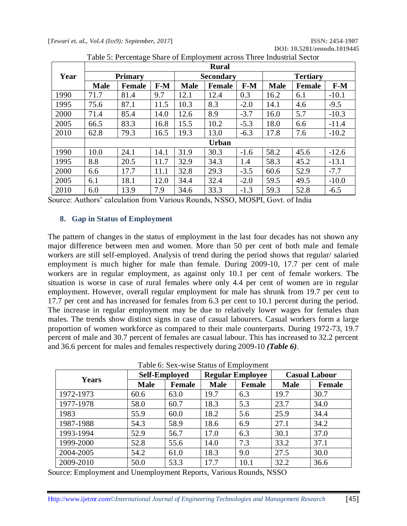**[***Tewari et. al., Vol.4 (Iss9): September, 2017***] ISSN: 2454-1907**

|      | <b>Rural</b>   |               |       |             |                  |        |             |                 |         |  |
|------|----------------|---------------|-------|-------------|------------------|--------|-------------|-----------------|---------|--|
| Year | <b>Primary</b> |               |       |             | <b>Secondary</b> |        |             | <b>Tertiary</b> |         |  |
|      | <b>Male</b>    | <b>Female</b> | $F-M$ | <b>Male</b> | <b>Female</b>    | $F-M$  | <b>Male</b> | <b>Female</b>   | $F-M$   |  |
| 1990 | 71.7           | 81.4          | 9.7   | 12.1        | 12.4             | 0.3    | 16.2        | 6.1             | $-10.1$ |  |
| 1995 | 75.6           | 87.1          | 11.5  | 10.3        | 8.3              | $-2.0$ | 14.1        | 4.6             | $-9.5$  |  |
| 2000 | 71.4           | 85.4          | 14.0  | 12.6        | 8.9              | $-3.7$ | 16.0        | 5.7             | $-10.3$ |  |
| 2005 | 66.5           | 83.3          | 16.8  | 15.5        | 10.2             | $-5.3$ | 18.0        | 6.6             | $-11.4$ |  |
| 2010 | 62.8           | 79.3          | 16.5  | 19.3        | 13.0             | $-6.3$ | 17.8        | 7.6             | $-10.2$ |  |
|      |                |               |       |             | <b>Urban</b>     |        |             |                 |         |  |
| 1990 | 10.0           | 24.1          | 14.1  | 31.9        | 30.3             | $-1.6$ | 58.2        | 45.6            | $-12.6$ |  |
| 1995 | 8.8            | 20.5          | 11.7  | 32.9        | 34.3             | 1.4    | 58.3        | 45.2            | $-13.1$ |  |
| 2000 | 6.6            | 17.7          | 11.1  | 32.8        | 29.3             | $-3.5$ | 60.6        | 52.9            | $-7.7$  |  |
| 2005 | 6.1            | 18.1          | 12.0  | 34.4        | 32.4             | $-2.0$ | 59.5        | 49.5            | $-10.0$ |  |
| 2010 | 6.0            | 13.9          | 7.9   | 34.6        | 33.3             | $-1.3$ | 59.3        | 52.8            | $-6.5$  |  |

Table 5: Percentage Share of Employment across Three Industrial Sector

Source: Authors' calculation from Various Rounds, NSSO, MOSPI, Govt. of India

## **8. Gap in Status of Employment**

The pattern of changes in the status of employment in the last four decades has not shown any major difference between men and women. More than 50 per cent of both male and female workers are still self-employed. Analysis of trend during the period shows that regular/ salaried employment is much higher for male than female. During 2009-10, 17.7 per cent of male workers are in regular employment, as against only 10.1 per cent of female workers. The situation is worse in case of rural females where only 4.4 per cent of women are in regular employment. However, overall regular employment for male has shrunk from 19.7 per cent to 17.7 per cent and has increased for females from 6.3 per cent to 10.1 percent during the period. The increase in regular employment may be due to relatively lower wages for females than males. The trends show distinct signs in case of casual labourers. Casual workers form a large proportion of women workforce as compared to their male counterparts. During 1972-73, 19.7 percent of male and 30.7 percent of females are casual labour. This has increased to 32.2 percent and 36.6 percent for males and females respectively during 2009-10 *(Table 6)*.

Table 6: Sex-wise Status of Employment

|           |             | <b>Self-Employed</b>                   |             | <b>Regular Employee</b> | <b>Casual Labour</b> |      |
|-----------|-------------|----------------------------------------|-------------|-------------------------|----------------------|------|
| Years     | <b>Male</b> | <b>Male</b><br><b>Female</b><br>Female | <b>Male</b> | Female                  |                      |      |
| 1972-1973 | 60.6        | 63.0                                   | 19.7        | 6.3                     | 19.7                 | 30.7 |
| 1977-1978 | 58.0        | 60.7                                   | 18.3        | 5.3                     | 23.7                 | 34.0 |
| 1983      | 55.9        | 60.0                                   | 18.2        | 5.6                     | 25.9                 | 34.4 |
| 1987-1988 | 54.3        | 58.9                                   | 18.6        | 6.9                     | 27.1                 | 34.2 |
| 1993-1994 | 52.9        | 56.7                                   | 17.0        | 6.3                     | 30.1                 | 37.0 |
| 1999-2000 | 52.8        | 55.6                                   | 14.0        | 7.3                     | 33.2                 | 37.1 |
| 2004-2005 | 54.2        | 61.0                                   | 18.3        | 9.0                     | 27.5                 | 30.0 |
| 2009-2010 | 50.0        | 53.3                                   | 17.7        | 10.1                    | 32.2                 | 36.6 |

Source: Employment and Unemployment Reports, Various Rounds, NSSO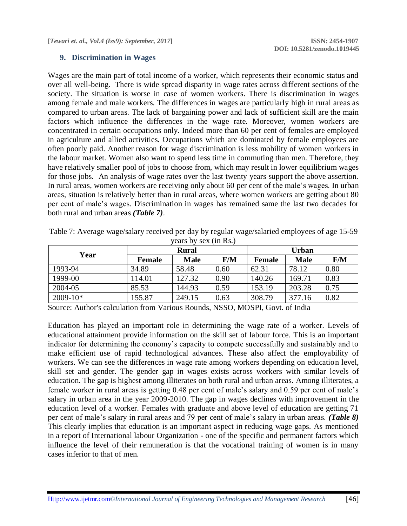## **9. Discrimination in Wages**

Wages are the main part of total income of a worker, which represents their economic status and over all well-being. There is wide spread disparity in wage rates across different sections of the society. The situation is worse in case of women workers. There is discrimination in wages among female and male workers. The differences in wages are particularly high in rural areas as compared to urban areas. The lack of bargaining power and lack of sufficient skill are the main factors which influence the differences in the wage rate. Moreover, women workers are concentrated in certain occupations only. Indeed more than 60 per cent of females are employed in agriculture and allied activities. Occupations which are dominated by female employees are often poorly paid. Another reason for wage discrimination is less mobility of women workers in the labour market. Women also want to spend less time in commuting than men. Therefore, they have relatively smaller pool of jobs to choose from, which may result in lower equilibrium wages for those jobs. An analysis of wage rates over the last twenty years support the above assertion. In rural areas, women workers are receiving only about 60 per cent of the male's wages. In urban areas, situation is relatively better than in rural areas, where women workers are getting about 80 per cent of male's wages. Discrimination in wages has remained same the last two decades for both rural and urban areas *(Table 7)*.

| Year       |               | <b>Rural</b> |      | Urban  |             |      |  |
|------------|---------------|--------------|------|--------|-------------|------|--|
|            | <b>Female</b> | <b>Male</b>  | F/M  | Female | <b>Male</b> | F/M  |  |
| 1993-94    | 34.89         | 58.48        | 0.60 | 62.31  | 78.12       | 0.80 |  |
| 1999-00    | 114.01        | 127.32       | 0.90 | 140.26 | 169.71      | 0.83 |  |
| 2004-05    | 85.53         | 144.93       | 0.59 | 153.19 | 203.28      | 0.75 |  |
| $2009-10*$ | 155.87        | 249.15       | 0.63 | 308.79 | 377.16      | 0.82 |  |

Table 7: Average wage/salary received per day by regular wage/salaried employees of age 15-59 years by sex  $(in Re)$ 

Source: Author's calculation from Various Rounds, NSSO, MOSPI, Govt. of India

Education has played an important role in determining the wage rate of a worker. Levels of educational attainment provide information on the skill set of labour force. This is an important indicator for determining the economy's capacity to compete successfully and sustainably and to make efficient use of rapid technological advances. These also affect the employability of workers. We can see the differences in wage rate among workers depending on education level, skill set and gender. The gender gap in wages exists across workers with similar levels of education. The gap is highest among illiterates on both rural and urban areas. Among illiterates, a female worker in rural areas is getting 0.48 per cent of male's salary and 0.59 per cent of male's salary in urban area in the year 2009-2010. The gap in wages declines with improvement in the education level of a worker. Females with graduate and above level of education are getting 71 per cent of male's salary in rural areas and 79 per cent of male's salary in urban areas. *(Table 8)* This clearly implies that education is an important aspect in reducing wage gaps. As mentioned in a report of International labour Organization - one of the specific and permanent factors which influence the level of their remuneration is that the vocational training of women is in many cases inferior to that of men.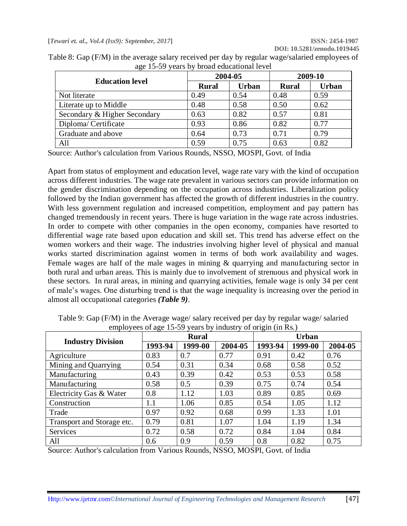| $\mu_{\rm N}$ is $\sigma$ , $\mu_{\rm C}$ , $\sigma$ , | 2004-05      |       | 2009-10      |              |  |
|--------------------------------------------------------|--------------|-------|--------------|--------------|--|
| <b>Education level</b>                                 | <b>Rural</b> | Urban | <b>Rural</b> | <b>Urban</b> |  |
| Not literate                                           | 0.49         | 0.54  | 0.48         | 0.59         |  |
| Literate up to Middle                                  | 0.48         | 0.58  | 0.50         | 0.62         |  |
| Secondary & Higher Secondary                           | 0.63         | 0.82  | 0.57         | 0.81         |  |
| Diploma/Certificate                                    | 0.93         | 0.86  | 0.82         | 0.77         |  |
| Graduate and above                                     | 0.64         | 0.73  | 0.71         | 0.79         |  |
| All                                                    | 0.59         | 0.75  | 0.63         | 0.82         |  |

Table 8: Gap (F/M) in the average salary received per day by regular wage/salaried employees of age 15-59 years by broad educational level

Source: Author's calculation from Various Rounds, NSSO, MOSPI, Govt. of India

Apart from status of employment and education level, wage rate vary with the kind of occupation across different industries. The wage rate prevalent in various sectors can provide information on the gender discrimination depending on the occupation across industries. Liberalization policy followed by the Indian government has affected the growth of different industries in the country. With less government regulation and increased competition, employment and pay pattern has changed tremendously in recent years. There is huge variation in the wage rate across industries. In order to compete with other companies in the open economy, companies have resorted to differential wage rate based upon education and skill set. This trend has adverse effect on the women workers and their wage. The industries involving higher level of physical and manual works started discrimination against women in terms of both work availability and wages. Female wages are half of the male wages in mining & quarrying and manufacturing sector in both rural and urban areas. This is mainly due to involvement of strenuous and physical work in these sectors. In rural areas, in mining and quarrying activities, female wage is only 34 per cent of male's wages. One disturbing trend is that the wage inequality is increasing over the period in almost all occupational categories *(Table 9)*.

|                            | $\epsilon$ |              |         | ັ            |         |         |  |
|----------------------------|------------|--------------|---------|--------------|---------|---------|--|
|                            |            | <b>Rural</b> |         | <b>Urban</b> |         |         |  |
| <b>Industry Division</b>   | 1993-94    | 1999-00      | 2004-05 | 1993-94      | 1999-00 | 2004-05 |  |
| Agriculture                | 0.83       | 0.7          | 0.77    | 0.91         | 0.42    | 0.76    |  |
| Mining and Quarrying       | 0.54       | 0.31         | 0.34    | 0.68         | 0.58    | 0.52    |  |
| Manufacturing              | 0.43       | 0.39         | 0.42    | 0.53         | 0.53    | 0.58    |  |
| Manufacturing              | 0.58       | 0.5          | 0.39    | 0.75         | 0.74    | 0.54    |  |
| Electricity Gas & Water    | 0.8        | 1.12         | 1.03    | 0.89         | 0.85    | 0.69    |  |
| Construction               | 1.1        | 1.06         | 0.85    | 0.54         | 1.05    | 1.12    |  |
| Trade                      | 0.97       | 0.92         | 0.68    | 0.99         | 1.33    | 1.01    |  |
| Transport and Storage etc. | 0.79       | 0.81         | 1.07    | 1.04         | 1.19    | 1.34    |  |
| Services                   | 0.72       | 0.58         | 0.72    | 0.84         | 1.04    | 0.84    |  |
| All                        | 0.6        | 0.9          | 0.59    | 0.8          | 0.82    | 0.75    |  |

Table 9: Gap (F/M) in the Average wage/ salary received per day by regular wage/ salaried employees of age 15-59 years by industry of origin (in Rs.)

Source: Author's calculation from Various Rounds, NSSO, MOSPI, Govt. of India